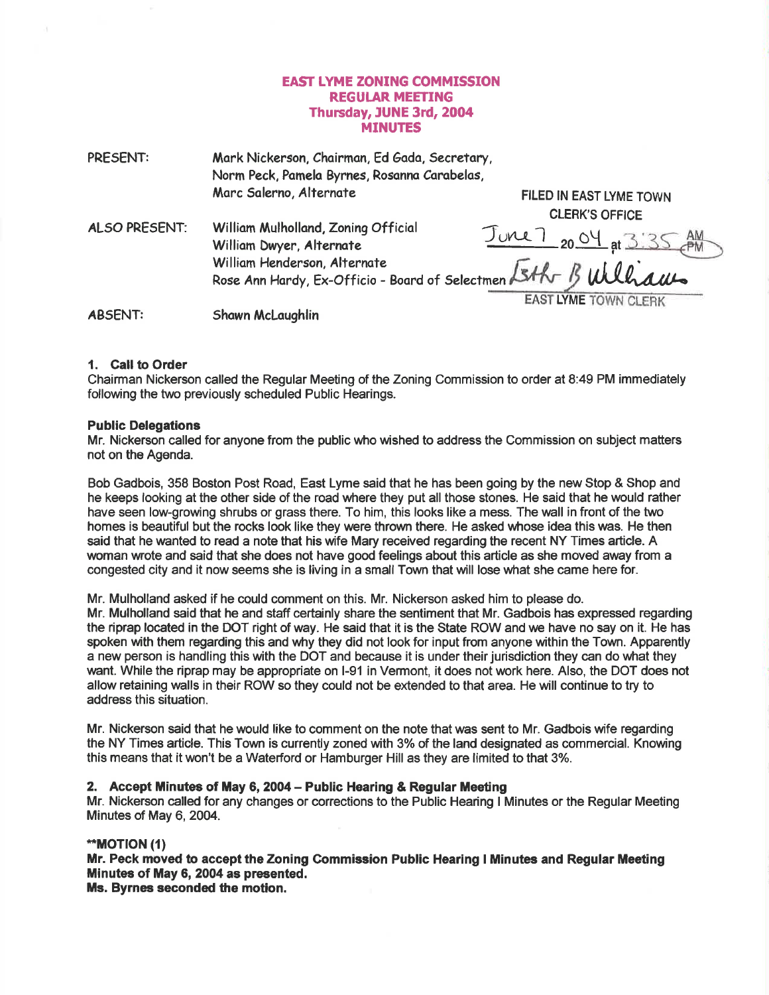## **EAST LYME ZONING COMMISSION** REGUIAR MEETING Thursday, JUNE 3rd, 2004 MINUTES

| PRESENT:       | Mark Nickerson, Chairman, Ed Gada, Secretary,<br>Norm Peck, Pamela Byrnes, Rosanna Carabelas,  |                         |
|----------------|------------------------------------------------------------------------------------------------|-------------------------|
|                | Marc Salerno, Alternate                                                                        | FILED IN EAST LYME TOWN |
|                |                                                                                                | <b>CLERK'S OFFICE</b>   |
| ALSO PRESENT:  | William Mulholland, Zoning Official<br>William Dwyer, Alternate                                | JUNE 7 20 04 at 3:35 AM |
|                | William Henderson, Alternate<br>Rose Ann Hardy, Ex-Officio - Board of Selectmen $\overline{K}$ |                         |
|                |                                                                                                | EAST LYME TOWN CLERK    |
| <b>ABSENT:</b> | Shawn McLaughlin                                                                               |                         |

## 1. Call to Order

Chairman Nickerson called the Regular Meeting of the Zoning Commission to order at 8:49 PM immediately following the two previously scheduled Public Hearings.

#### Public Delegations

Mr. Nickerson called for anyone from the public who wished to address the Commission on subject mafters not on the Agenda.

Bob Gadbois, 358 Boston Post Road, East Lyme said that he has been going by the new Stop & Shop and he keeps looking at the other side of the road where they put all those stones. He said that he would rather have seen low-growing shrubs or grass there. To him, this looks like a mess. The wall in front of the two homes is beautiful but the rocks look like they were thrown there. He asked whose idea this was. He then said that he wanted to read a note that his wife Mary received regarding the recent NY Times article. A woman wrote and said that she does not have good feelings about this article as she moved away from a congested city and it now seems she is living in a small Town that will lose what she came here for.

Mr. Mulholland asked if he cquld comment on this. Mr. Nickerson asked him to please do.

Mr. Mulholland said that he and staff certainly share the sentiment that Mr. Gadbois has expressed regarding the riprap located in the DOT right of way. He said that it is the State ROW and we have no say on it. He has spoken with them regarding this and why they did not look for input from anyone within the Town. Apparently a new person is handling this with the DOT and because it is under their jurisdiction they can do what they want. While the riprap may be appropriate on l-91 in Vermont, it does not work here. Also, the DOT does not allow retaining walls in their ROW so they could not be extended to that area. He will continue to try to address this situation.

Mr. Nickerson said that he would like to comment on the note that was sent to Mr. Gadbois wife regarding the NY Times article. This Town is currently zoned with 3% of the land designated as commercial. Knowing this means that it won't be a Waterford or Hamburger Hill as they are limited to that 3%.

## 2. Accept Minutes of May 6, 2004 - Public Hearing & Regular Meeting

Mr. Nickerson called for any changes or corrections to the Public Hearing I Minutes or the Regular Meeting Minutes of May 6, 2004.

## \*MOTTON (1)

Mr. Peck moved to accept the Zoning Gommission Public Hearing I Minutes and Regular Meeting Minutes of May 6, 2004 as presented.

Ms. Byrnee seconded the motion.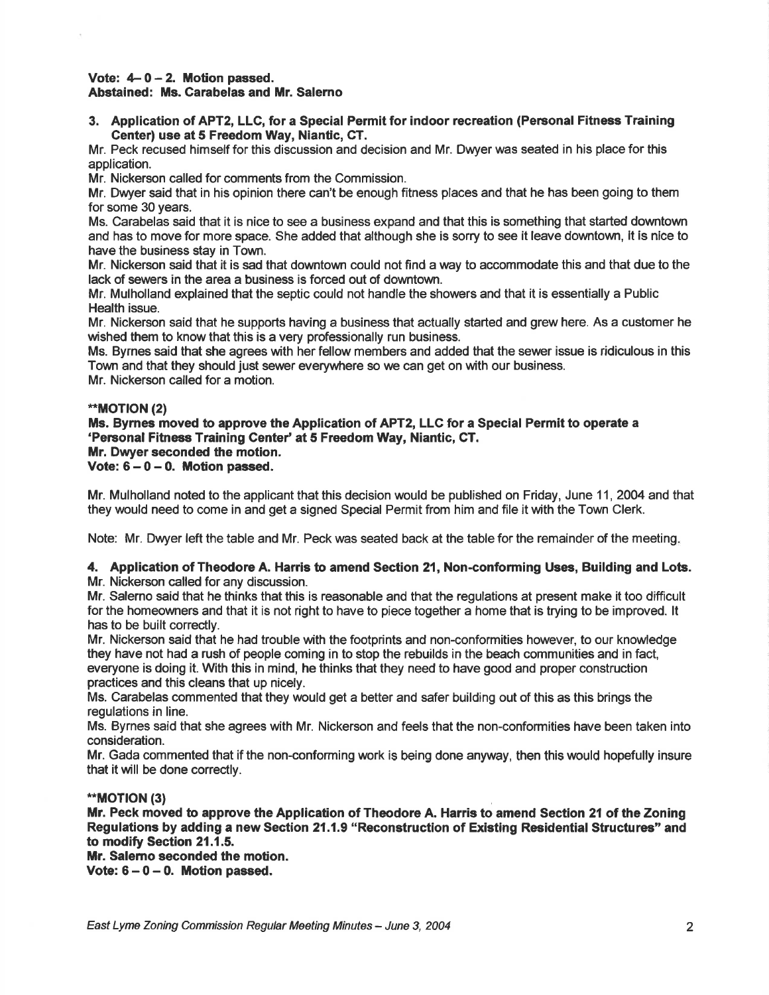#### Vote:  $4-0-2$ . Motion passed. Abstained: Ms. Carabelas and Mr. Salerno

3. Application of APT2, LLG, for a Special Permit for indoor recreation (Pensonal Fitness Training Center) use at 5 Freedom Way, Niantic, GT.

Mr. Peck recused himself for this discussion and decision and Mr. Dwyer was seated in his place for this application.

Mr. Nickerson called for comments from the Commission.

Mr. Dwyer said that in his opinion there can't be enough fitness places and that he has been going to them for some 30 years.

Ms. Carabelas said that it is nice to see a business expand and that this is something that started downtown and has to move for more space. She added that although she is sorry to see it leave downtown, it is nice to have the business stay in Town.

Mr. Nickerson said that it is sad that downtown could not find a way to accommodate this and that due to the lack of sewers in the area a business is forced out of downtown.

Mr. Mulholland explained that the septic could not handle the showers and that it is essentially a Public Health issue.

Mr. Nickerson said that he supports having a business that actually started and grew here. As a customer he wished them to know that this is a very professionally run business.

Ms. Byrnes said that she agrees with her fellow members and added that the sewer issue is ridiculous in this Town and that they should just sewer everywhere so we can get on with our business.

Mr. Nickerson called for a motion.

## \*\*MOTION (2)

Ms. Byrnes moved to approve the Application of APT2, LLC for a Special Permit to operate a 'Personal Fitness Training Center' at 5 Freedom Way, Niantic, CT. Mr. Dwyer seconded the motion. Vote:  $6-0-0$ . Motion passed.

Mr. Mulholland noted to the applicant that this decision would be published on Friday, June 11, 2004 and that they would need to come in and get a signed Special Permit from him and file it with the Town Clerk.

Note: Mr. Dwyer left the table and Mr. Peck was seated back at the table for the remainder of the meeting

## 4. Application of Theodore A. Harris to amend Section 21, Non-conforming Uses, Building and Lots. Mr. Nickerson called for any discussion.

Mr. Salerno said that he thinks that this is reasonable and that the regulations at present make it too difficult for the homeowners and that it is not right to have to piece together a home that is trying to be improved. lt has to be built correctly.

Mr. Nickerson said that he had trouble with the footprints and non-conformities however, to our knowledge they have not had a rush of people coming in to stop the rebuilds in the beach communities and in fact, everyone is doing it. With this in mind, he thinks that they need to have good and proper construction practices and this cleans that up nicely.

Ms. Carabelas commented that they would get a better and safer building out of this as this brings the regulations in line.

Ms. Byrnes said that she agrees with Mr. Nickerson and feels that the non-conformities have been taken into consideration.

Mr. Gada commented that if the non-conforming work is being done anyway, then this would hopefully insure that it will be done correctly.

## \*MOT|ON (3)

Mr. Peck moved to approve the Application of Theodore A. Harris to amend Section 21 of the Zoning Regulations by adding a new Section 21.1.9 "Reconstruction of Existing Residential Structures" and to modify Section 21.1.5.

Mr. Salemo seconded the motion.

Vote:  $6-0-0$ . Motion passed.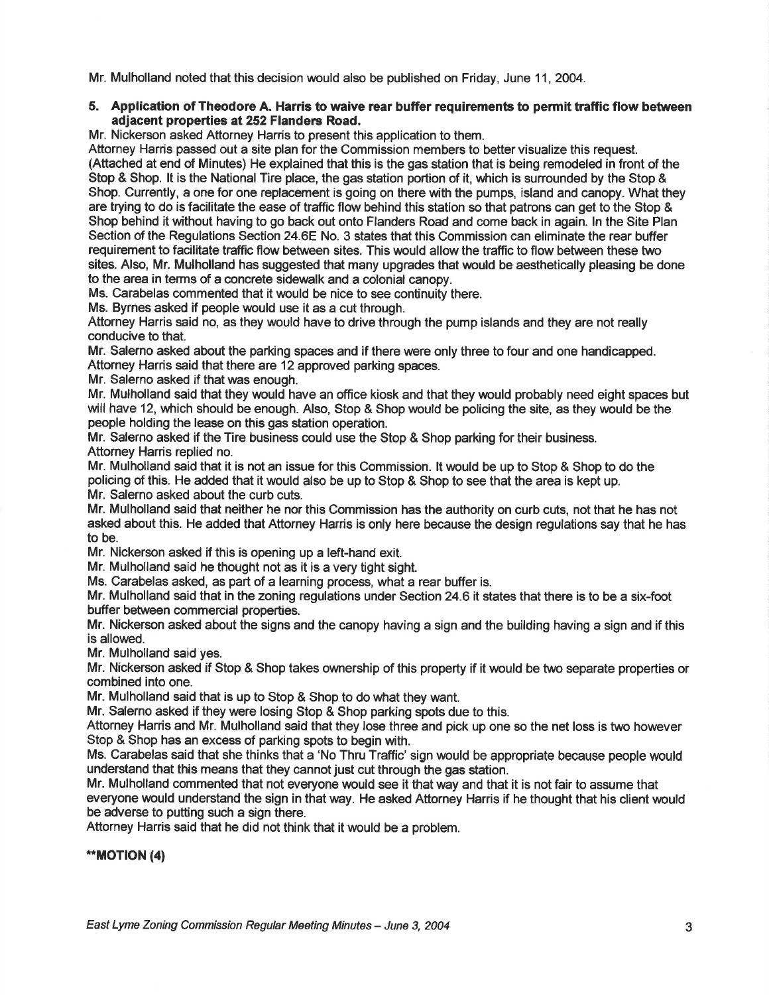Mr. Mulholland noted that this decision would also be published on Friday, June 11, 2004.

## 5. Application of Theodore A. Harris to waive rear buffer requirements to permit traffic flow between adiacent properties at 252 Flanders Road.

Mr. Nickerson asked Attorney Harris to present this application to them.

Attorney Harris passed out a site plan for the Commission members to bettervisualize this request. (Attached at end of Minutes) He explained that this is the gas station that is being remodeled in front of the Stop & Shop. It is the National Tire place, the gas station portion of it, which is surrounded by the Stop & Shop. Currently, a one for one replacement is going on there with the pumps, island and canopy. What they are trying to do is facilitate the ease of traffic flow behind this station so that patrons can get to the Stop & Shop behind it without having to go back out onto Flanders Road and come back in again. ln the Site Plan Section of the Regulations Section 24.6E No. 3 states that this Commission can eliminate the rear buffer requirement to facilitate traffic flow between sites. This would allow the traffic to flow between these two sites. Also, Mr. Mulholland has suggested that many upgrades that would be aesthetically pleasing be done to the area in terms of a concrete sidewalk and a colonial canopy.

Ms. Carabelas commented that it would be nice to see continuity there.

Ms. Byrnes asked if people would use it as a cut through.

Attorney Harris said no, as they would have to drive through the pump islands and they are not really conducive to that.

Mr. Salerno asked about the parking spaces and if there were only three to four and one handicapped. Attorney Harris said that there are 12 approved parking spaces.

Mr. Salerno asked if that was enough.

Mr. Mulholland said that they would have an office kiosk and that they would probably need eight spaces but will have 12, which should be enough. Also, Stop & Shop would be policing the site, as they would be the people holding the lease on this gas station operation.

Mr. Salerno asked if the Tire business could use the Stop & Shop parking for their business. Attorney Harris replied no.

Mr. Mulholland said that it is not an issue for this Commission. lt would be up to Stop & Shop to do the policing of this. He added that it would also be up to Stop & Shop to see that the area is kept up. Mr. Salerno asked about the curb cuts.

Mr. Mulholland said that neither he nor this Commission has the authority on curb cuts, not that he has not asked about this. He added that Attorney Harris is only here because the design regulations say that he has to be.

Mr. Nickerson asked if this is opening up a left-hand exit.

Mr. Mulholland said he thought not as it is a very tight sight.

Ms. Carabelas asked, as part of a learning process, what a rear buffer is.

Mr. Mulholland said that in the zoning regulations under Section24.6 it states that there is to be a six-foot buffer between commercial properties.

Mr. Nickerson asked about the signs and the canopy having a sign and the building having a sign and if this is allowed.

Mr. Mulholland said yes.

Mr. Nickerson asked if Stop & Shop takes ownership of this property if it would be two separate properties or combined into one.

Mr. Mulholland said that is up to Stop & Shop to do what they want.

Mr. Salerno asked if they were losing Stop & Shop parking spots due to this.

Attorney Harris and Mr. Mulholland said that they lose three and pick up one so the net loss is two however Stop & Shop has an excess of parking spots to begin with.

Ms. Carabelas said that she thinks that a'No Thru Traffic'sign would be appropriate because people would understand that this means that they cannot just cut through the gas station.

Mr. Mulholland commented that not everyone would see it that way and that it is not fair to assume that everyone would understand the sign in that way. He asked Attorney Harris if he thought that his client would be adverse to putting such a sign there.

Attorney Harris said that he did not think that it would be a problem.

\*MOT|ON (4)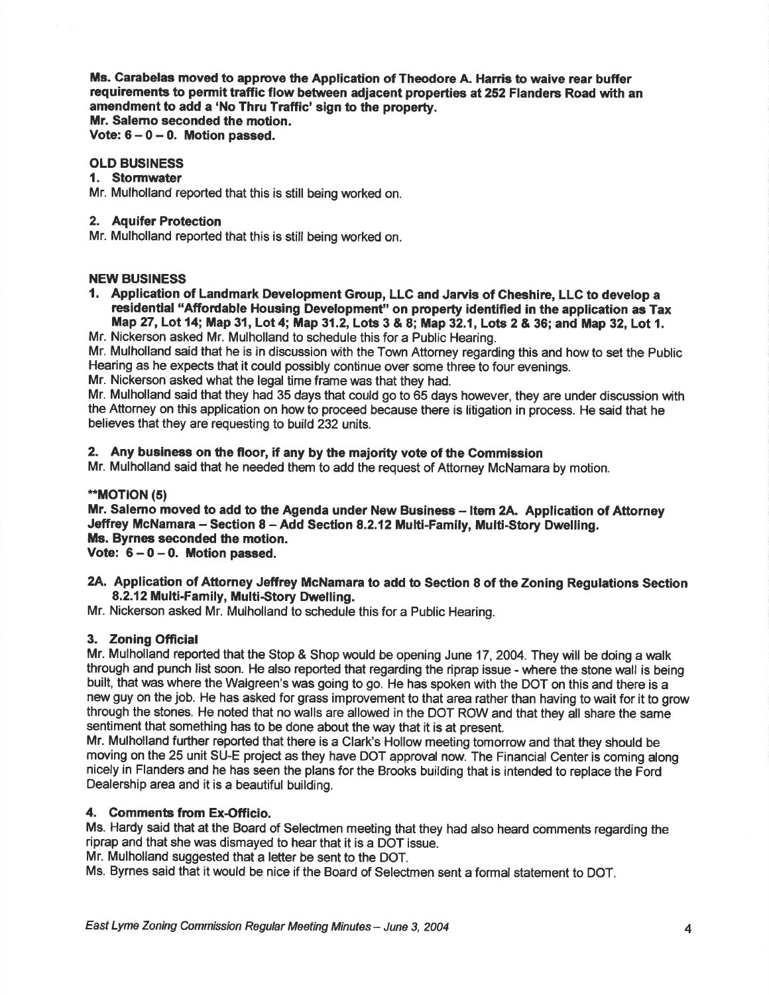Ms. Carabelas moved to approve the Application of Theodore A. Harris to waive rear buffer requirements to permit traffic flow between adjacent properties at 252 Flanders Road with an amendment to add a 'No Thru Traffic' sign to the property. Mr. Salemo seconded the motion.

Vote:  $6 - 0 - 0$ . Motion passed.

#### OLD BUSINESS

#### 1. Stormwater

Mr. Mulholland reported that this is still being worked on.

#### 2. Aquifer Protection

Mr. Mulholland reported that this is still being worked on.

## NEW BUSINESS

- 1. Application of Landmark Development Group, LLC and Jarvis of Cheshire, LLC to develop a residential "Affordable Housing Development" on property identified in the application as Tax Map 27, Lot 14; Map 31, Lot 4; Map 31.2, Lots 3 & 8; Map 32.1, Lots 2 & 36; and Map 32, Lot 1.
- Mr. Nickerson asked Mr. Mulholland to schedule this for a Public Hearing.

Mr. Mulholland said that he is in discussion with the Town Attorney regarding this and how to set the Public Hearing as he expects that it could possibly continue over some three to four evenings.

Mr. Nickerson asked what the legal time frame was that they had.

Mr. Mulholland said that they had 35 days that could go to 65 days however, they are under discussion with the Attorney on this application on how to proceed because there is litigation in process. He said that he believes that they are requesting to build 232 units.

# 2. Any business on the floor, if any by the majority vote of the Commission

Mr. Mulholland said that he needed them to add the request of Attorney McNamara by motion.

#### \*\*MOTION (5)

Mr. Salerno moved to add to the Agenda under New Business - Item 2A. Application of Attorney Jeffrey McNamara - Section 8 - Add Section 8.2.12 Multi-Family, Multi-Story Dwelling. Ms, Byrnee seconded the motion.

Vote:  $6-0-0$ . Motion passed.

## 2A. Application of Attorney Jeffrey McNamara to add to Section 8 of the Zoning Regulations Section 8.2.12 Multi-Family, Multi-Story Dwelling.

Mr. Nickerson asked Mr. Mulholland to schedule this for a Public Hearing.

## 3. Zoning Official

Mr. Mulholland reported that the Stop & Shop would be opening June 17, 2004. They will be doing a walk through and punch list soon. He also reported that regarding the riprap issue - where the stone wall is being built, that was where the Walgreen's was going to go. He has spoken with the DOT on this and there is a new guy on the job. He has asked for grass improvement to that area rather than having to wait for it to grow through the stones. He noted that no walls are allowed in the DOT ROW and that they all share the same sentiment that something has to be done about the way that it is at present.

Mr. Mulholland further reported that there is a Clark's Hollow meeting tomorrow and that they should be moving on the 25 unit SU-E project as they have DOT approval now. The Financial Center is coming along nicely in Flanders and he has seen the plans for the Brooks building that is intended to replace the Ford Dealership area and it is a beautiful building.

## 4. Comments from Ex-Officio.

Ms. Hardy said that at the Board of Selectmen meeting that they had also heard comments regarding the riprap and that she was dismayed to hear that it is a DOT issue.

Mr. Mulholland suggested that a letter be sent to the DOT.

Ms. Byrnes said that it would be nice if the Board of Selectmen sent a formal statement to DOT.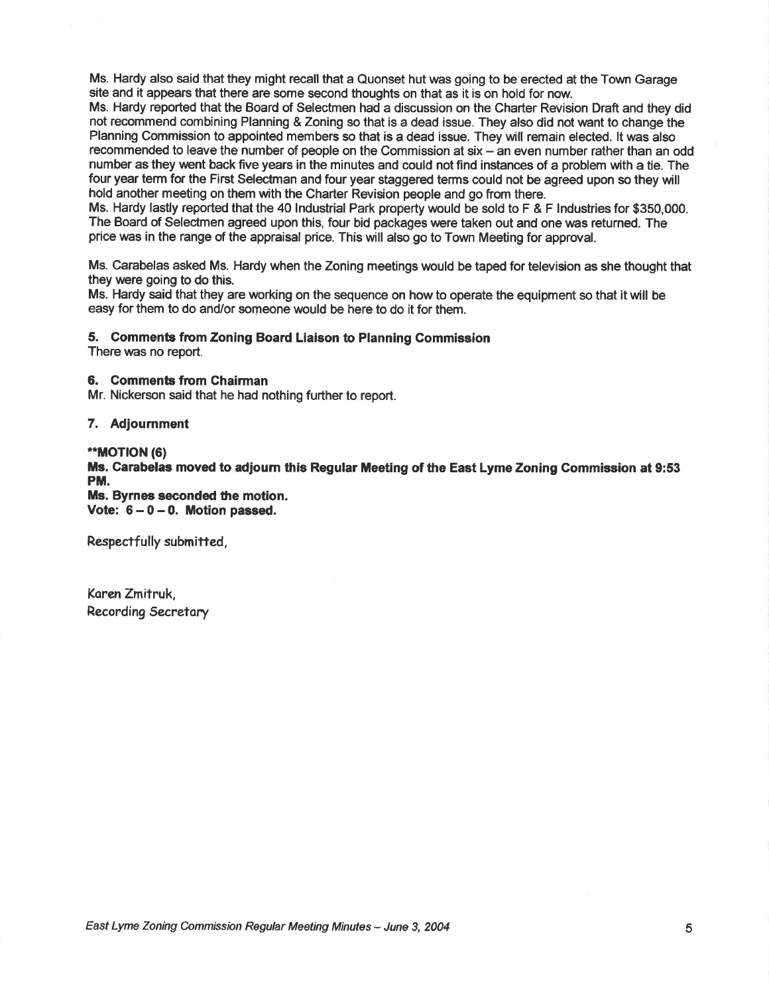Ms. Hardy also said that they might recall that a Quonset hut was going to be erected at the Town Garage site and it appears that there are some second thoughts on that as it is on hold for now.

Ms. Hardy reported that the Board of Selectmen had a discussion on the Charter Revision Draft and they did not recommend combining Planning & Zoning so that is a dead issue. They also did not want to change the Planning Commission to appointed members so that is a dead issue. They will remain elected. lt was also recommended to leave the number of people on the Commission at six - an even number rather than an odd number as they went back five years in the minutes and could not find instances of a problem with a tie. The four year term for the First Selectman and four year staggered terms could not be agreed upon so they will hold another meeting on them with the Charter Revision people and go from there.

Ms. Hardy lastly reported that the 40 lndustrial Park property would be sold to F & F lndustries for \$350,000. The Board of Selectmen agreed upon this, four bid packages were taken out and one was returned. The price was in the range of the appraisal price. This will also go to Town Meeting for approval.

Ms. Carabelas asked Ms. Hardy when the Zoning meetings would be taped for television as she thought that they were going to do this.

Ms. Hardy said that they are working on the sequence on how to operate the equipment so that it will be easy for them to do and/or someone would be here to do it for them.

#### 5. Gomments fiom Zoning Board Liaison to Planning Commission

There was no report.

## 6. Commente fiom Chairman

Mr. Nickerson said that he had nothing further to report.

#### 7. Adjournment

#### \*\*MOTION (6)

Ms. Carabelas moved to adjourn this Regular Meeting of the East Lyme Zoning Commission at 9:53 PM.

Ms. Byrnee seconded the motion. Vote:  $6 - 0 - 0$ . Motion passed.

Respectfully submitted,

Koren Zmitruk, Recording Secretary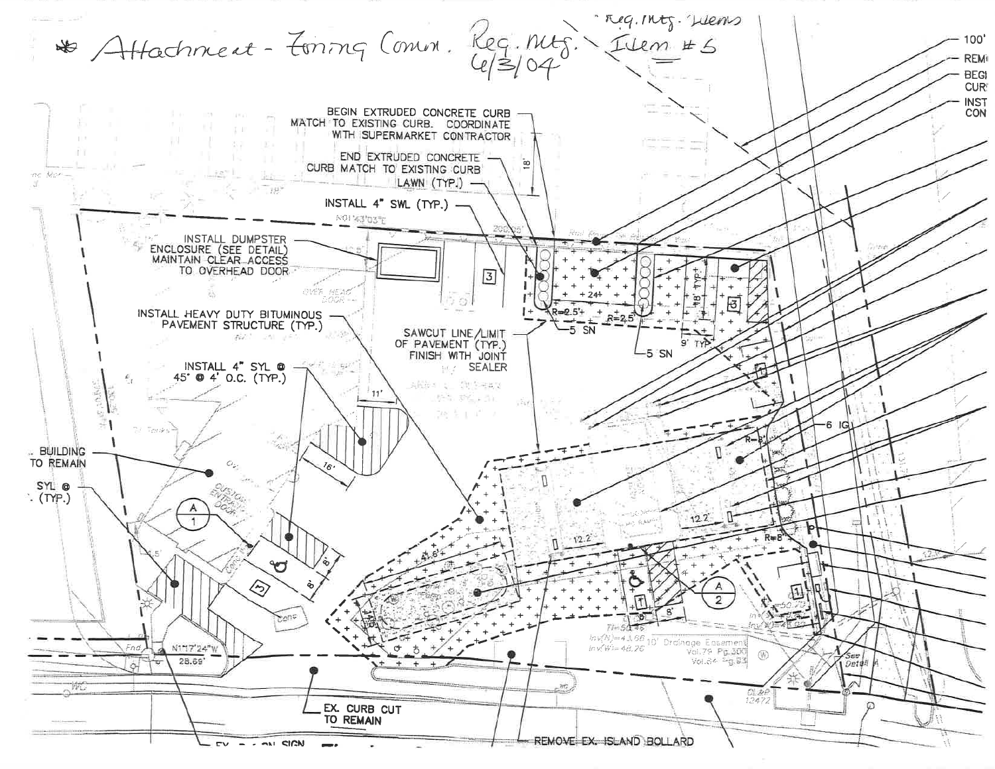